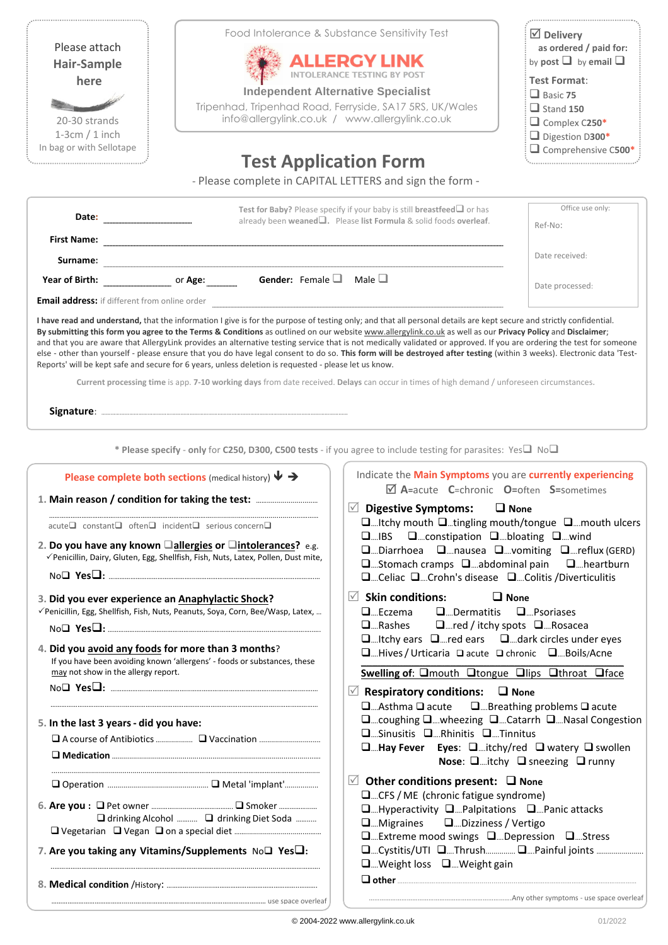| Please attach<br><b>Hair-Sample</b><br>here<br>20-30 strands<br>$1-3cm/1$ inch<br>In bag or with Sellotape                                                                                                                                                                                                                                                                                                                                                                                                                                                | Food Intolerance & Substance Sensitivity Test<br><b>ALLERGY LINK</b><br><b>Independent Alternative Specialist</b><br>Tripenhad, Tripenhad Road, Ferryside, SA17 5RS, UK/Wales<br>info@allergylink.co.uk / www.allergylink.co.uk<br><b>Test Application Form</b><br>- Please complete in CAPITAL LETTERS and sign the form -                                                                                                                                          | $\boxdot$ Delivery<br>as ordered / paid for:<br>by post $\Box$ by email $\Box$<br><b>Test Format:</b><br>$\Box$ Basic 75<br>$\Box$ Stand 150<br>Complex C250*<br>Digestion D300*<br>Comprehensive C500* |
|-----------------------------------------------------------------------------------------------------------------------------------------------------------------------------------------------------------------------------------------------------------------------------------------------------------------------------------------------------------------------------------------------------------------------------------------------------------------------------------------------------------------------------------------------------------|----------------------------------------------------------------------------------------------------------------------------------------------------------------------------------------------------------------------------------------------------------------------------------------------------------------------------------------------------------------------------------------------------------------------------------------------------------------------|---------------------------------------------------------------------------------------------------------------------------------------------------------------------------------------------------------|
| <b>First Name:</b>                                                                                                                                                                                                                                                                                                                                                                                                                                                                                                                                        | Test for Baby? Please specify if your baby is still breastfeed or has<br>already been weaned <sup>1</sup> . Please list Formula & solid foods overleaf.                                                                                                                                                                                                                                                                                                              | Office use only:<br>Ref-No:                                                                                                                                                                             |
|                                                                                                                                                                                                                                                                                                                                                                                                                                                                                                                                                           |                                                                                                                                                                                                                                                                                                                                                                                                                                                                      | Date received:                                                                                                                                                                                          |
|                                                                                                                                                                                                                                                                                                                                                                                                                                                                                                                                                           | Male $\square$                                                                                                                                                                                                                                                                                                                                                                                                                                                       | Date processed:                                                                                                                                                                                         |
| else - other than yourself - please ensure that you do have legal consent to do so. This form will be destroyed after testing (within 3 weeks). Electronic data 'Test-<br>Reports' will be kept safe and secure for 6 years, unless deletion is requested - please let us know.<br>Current processing time is app. 7-10 working days from date received. Delays can occur in times of high demand / unforeseen circumstances.<br>* Please specify - only for C250, D300, C500 tests - if you agree to include testing for parasites: Yes $\Box$ No $\Box$ |                                                                                                                                                                                                                                                                                                                                                                                                                                                                      |                                                                                                                                                                                                         |
| Please complete both sections (medical history) $\blacklozenge \rightarrow$<br>1. Main reason / condition for taking the test:<br>$\Box$ acute $\Box$ constant $\Box$ often $\Box$ incident $\Box$ serious concern $\Box$<br>2. Do you have any known allergies or aintolerances? e.g.<br>√Penicillin, Dairy, Gluten, Egg, Shellfish, Fish, Nuts, Latex, Pollen, Dust mite,                                                                                                                                                                               | Indicate the Main Symptoms you are currently experiencing<br>$\boxtimes$ A=acute C=chronic O=often S=sometimes<br>$\vee$ Digestive Symptoms:<br>□  Itchy mouth □ tingling mouth/tongue □  mouth ulcers<br>□IBS □constipation □bloating □wind<br>$\square$ Diarrhoea $\square$ nausea $\square$ vomiting $\square$ reflux (GERD)<br>$\square$ Stomach cramps $\square$ abdominal pain $\square$ heartburn<br>□  Celiac □  Crohn's disease □  Colitis / Diverticulitis | $\Box$ None                                                                                                                                                                                             |
| 3. Did you ever experience an Anaphylactic Shock?<br>√Penicillin, Egg, Shellfish, Fish, Nuts, Peanuts, Soya, Corn, Bee/Wasp, Latex,                                                                                                                                                                                                                                                                                                                                                                                                                       | $\vee$ Skin conditions:<br>$\square$ Eczema<br>$\Box$ Dermatitis $\Box$ Psoriases<br>□  Rashes □  red / itchy spots □  Rosacea                                                                                                                                                                                                                                                                                                                                       | $\Box$ None                                                                                                                                                                                             |
| 4. Did you avoid any foods for more than 3 months?<br>If you have been avoiding known 'allergens' - foods or substances, these                                                                                                                                                                                                                                                                                                                                                                                                                            | $\square$ Itchy ears $\square$ red ears $\square$ dark circles under eyes<br>□Hives / Urticaria □ acute □ chronic □Boils/Acne                                                                                                                                                                                                                                                                                                                                        |                                                                                                                                                                                                         |
| may not show in the allergy report.<br>5. In the last 3 years - did you have:                                                                                                                                                                                                                                                                                                                                                                                                                                                                             | Swelling of: Omouth Otongue Olips Othroat Oface<br>$\mathbb Z$ Respiratory conditions: $\Box$ None<br>$\square$ Asthma $\square$ acute $\square$ Breathing problems $\square$ acute<br>□  coughing □  wheezing □  Catarrh □  Nasal Congestion<br>$\square$ Sinusitis $\square$ Rhinitis $\square$ Tinnitus<br>$\square$ Hay Fever Eyes: $\square$ itchy/red $\square$ watery $\square$ swollen                                                                       | Nose: $\square$ itchy $\square$ sneezing $\square$ runny                                                                                                                                                |
| □ drinking Alcohol  □ drinking Diet Soda<br>7. Are you taking any Vitamins/Supplements No□ Yes□:                                                                                                                                                                                                                                                                                                                                                                                                                                                          | $\vee$ Other conditions present: $\Box$ None<br>□  CFS / ME (chronic fatigue syndrome)<br>$\square$ Hyperactivity $\square$ Palpitations $\square$ Panic attacks<br>$\square$ Migraines $\square$ Dizziness / Vertigo<br>□  Extreme mood swings □  Depression □  Stress<br>□  Cystitis/UTI □  Thrush    □  Painful joints<br>$\Box$ Weight loss $\Box$ Weight gain<br>$\square$ other                                                                                |                                                                                                                                                                                                         |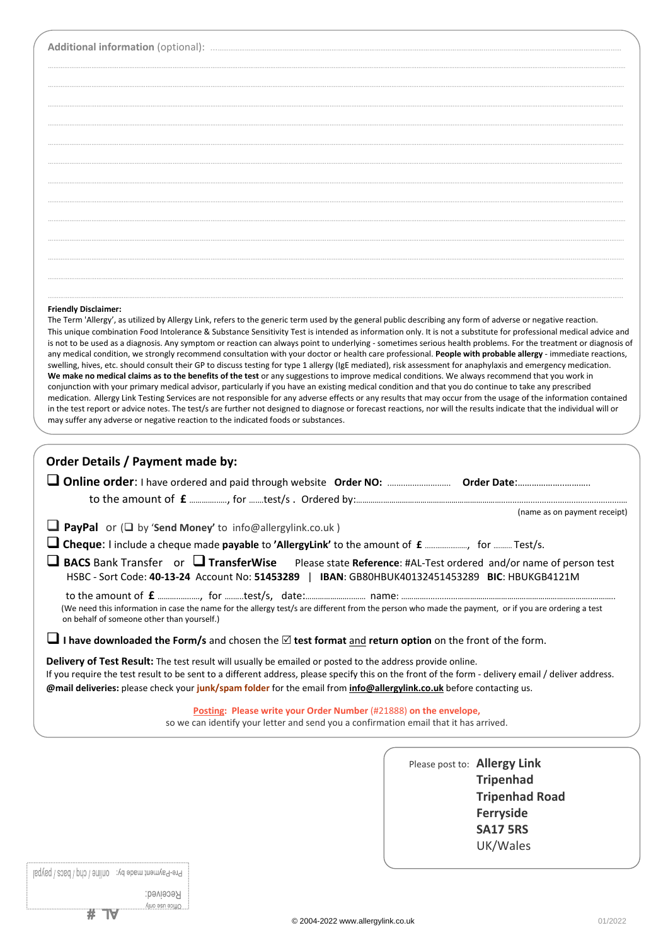### **Friendly Disclaimer:**

The Term 'Allergy', as utilized by Allergy Link, refers to the generic term used by the general public describing any form of adverse or negative reaction. This unique combination Food Intolerance & Substance Sensitivity Test is intended as information only. It is not a substitute for professional medical advice and is not to be used as a diagnosis. Any symptom or reaction can always point to underlying - sometimes serious health problems. For the treatment or diagnosis of any medical condition, we strongly recommend consultation with your doctor or health care professional. **People with probable allergy** - immediate reactions, swelling, hives, etc. should consult their GP to discuss testing for type 1 allergy (IgE mediated), risk assessment for anaphylaxis and emergency medication. **We make no medical claims as to the benefits of the test** or any suggestions to improve medical conditions. We always recommend that you work in conjunction with your primary medical advisor, particularly if you have an existing medical condition and that you do continue to take any prescribed medication. Allergy Link Testing Services are not responsible for any adverse effects or any results that may occur from the usage of the information contained in the test report or advice notes. The test/s are further not designed to diagnose or forecast reactions, nor will the results indicate that the individual will or may suffer any adverse or negative reaction to the indicated foods or substances.

| <b>Order Details / Payment made by:</b>                                                                                                                                                                                                                                                                                                                                                 |
|-----------------------------------------------------------------------------------------------------------------------------------------------------------------------------------------------------------------------------------------------------------------------------------------------------------------------------------------------------------------------------------------|
|                                                                                                                                                                                                                                                                                                                                                                                         |
| (name as on payment receipt)                                                                                                                                                                                                                                                                                                                                                            |
| <b>I</b> PayPal or ( $\Box$ by 'Send Money' to info@allergylink.co.uk)                                                                                                                                                                                                                                                                                                                  |
| Cheque: I include a cheque made payable to 'AllergyLink' to the amount of £ , for  Test/s.                                                                                                                                                                                                                                                                                              |
| $\Box$ BACS Bank Transfer or $\Box$ TransferWise Please state Reference: #AL-Test ordered and/or name of person test<br>HSBC - Sort Code: 40-13-24 Account No: 51453289   IBAN: GB80HBUK40132451453289 BIC: HBUKGB4121M                                                                                                                                                                 |
| (We need this information in case the name for the allergy test/s are different from the person who made the payment, or if you are ordering a test<br>on behalf of someone other than yourself.)                                                                                                                                                                                       |
| I have downloaded the Form/s and chosen the $\boxtimes$ test format and return option on the front of the form.                                                                                                                                                                                                                                                                         |
| Delivery of Test Result: The test result will usually be emailed or posted to the address provide online.<br>If you require the test result to be sent to a different address, please specify this on the front of the form - delivery email / deliver address.<br>@mail deliveries: please check your junk/spam folder for the email from info@allergylink.co.uk before contacting us. |
| Posting: Please write your Order Number (#21888) on the envelope,<br>so we can identify your letter and send you a confirmation email that it has arrived.                                                                                                                                                                                                                              |
|                                                                                                                                                                                                                                                                                                                                                                                         |
| Please post to: Allergy Link                                                                                                                                                                                                                                                                                                                                                            |
| <b>Tripenhad</b><br><b>Tripenhad Road</b>                                                                                                                                                                                                                                                                                                                                               |
| <b>Ferryside</b>                                                                                                                                                                                                                                                                                                                                                                        |
| <b>SA17 5RS</b>                                                                                                                                                                                                                                                                                                                                                                         |
| UK/Wales                                                                                                                                                                                                                                                                                                                                                                                |

Pre-Payment made by: online / chq / bacs / paypal

**# TV** 

Кесеілед: Vino esu esitto.